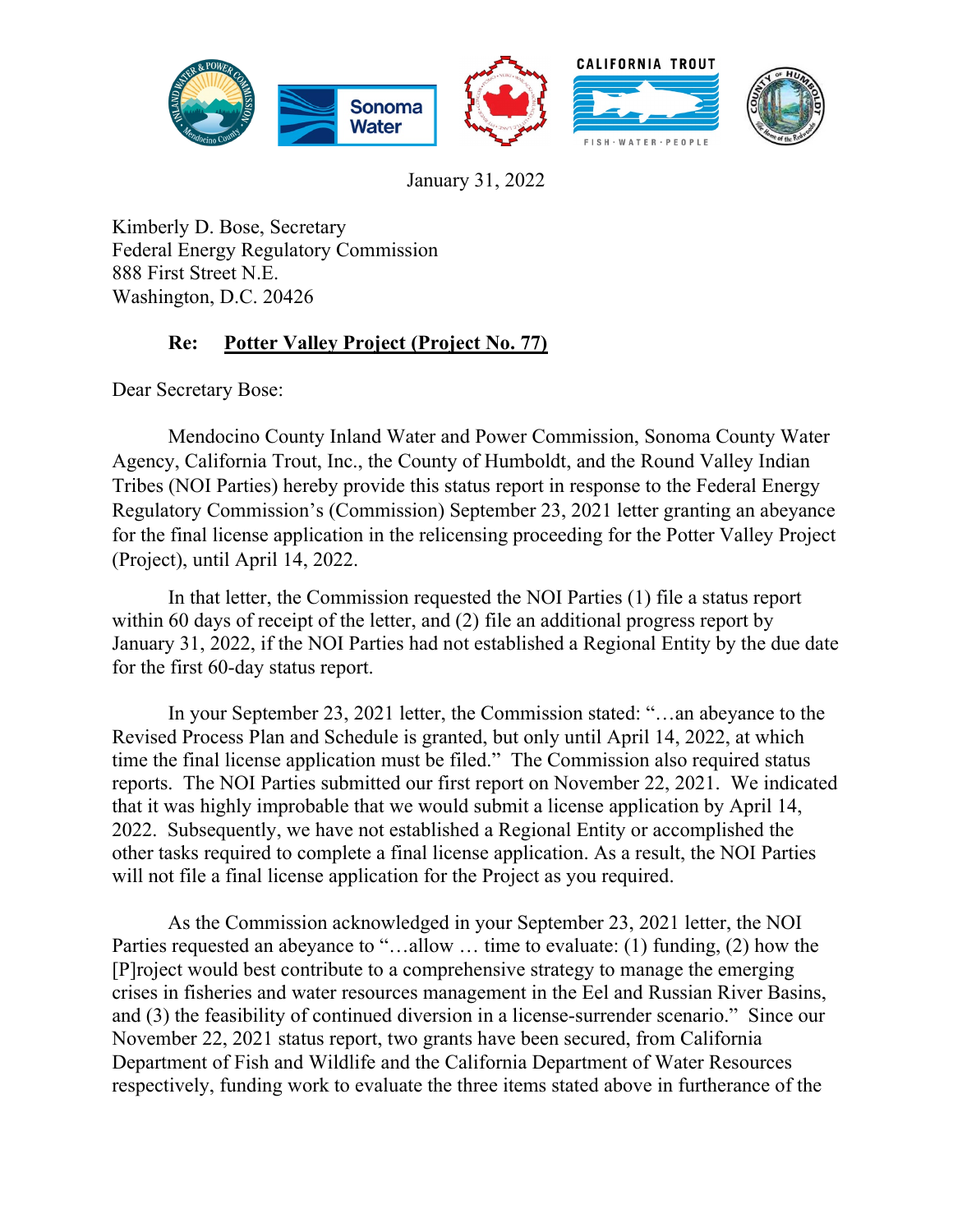

January 31, 2022

Kimberly D. Bose, Secretary Federal Energy Regulatory Commission 888 First Street N.E. Washington, D.C. 20426

## **Re: Potter Valley Project (Project No. 77)**

Dear Secretary Bose:

Mendocino County Inland Water and Power Commission, Sonoma County Water Agency, California Trout, Inc., the County of Humboldt, and the Round Valley Indian Tribes (NOI Parties) hereby provide this status report in response to the Federal Energy Regulatory Commission's (Commission) September 23, 2021 letter granting an abeyance for the final license application in the relicensing proceeding for the Potter Valley Project (Project), until April 14, 2022.

In that letter, the Commission requested the NOI Parties (1) file a status report within 60 days of receipt of the letter, and (2) file an additional progress report by January 31, 2022, if the NOI Parties had not established a Regional Entity by the due date for the first 60-day status report.

In your September 23, 2021 letter, the Commission stated: "…an abeyance to the Revised Process Plan and Schedule is granted, but only until April 14, 2022, at which time the final license application must be filed." The Commission also required status reports. The NOI Parties submitted our first report on November 22, 2021. We indicated that it was highly improbable that we would submit a license application by April 14, 2022. Subsequently, we have not established a Regional Entity or accomplished the other tasks required to complete a final license application. As a result, the NOI Parties will not file a final license application for the Project as you required.

As the Commission acknowledged in your September 23, 2021 letter, the NOI Parties requested an abeyance to "…allow … time to evaluate: (1) funding, (2) how the [P]roject would best contribute to a comprehensive strategy to manage the emerging crises in fisheries and water resources management in the Eel and Russian River Basins, and (3) the feasibility of continued diversion in a license-surrender scenario." Since our November 22, 2021 status report, two grants have been secured, from California Department of Fish and Wildlife and the California Department of Water Resources respectively, funding work to evaluate the three items stated above in furtherance of the